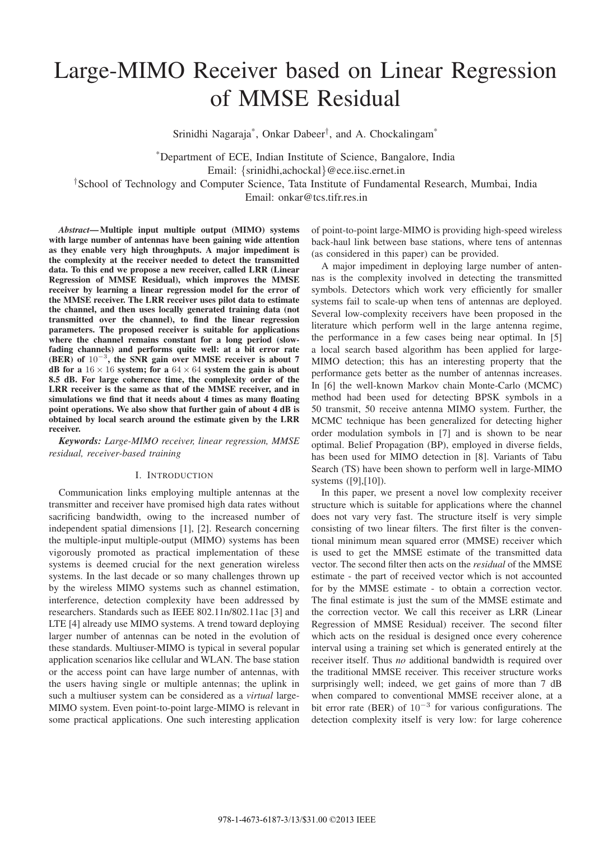# Large-MIMO Receiver based on Linear Regression of MMSE Residual

Srinidhi Nagaraja\*, Onkar Dabeer*†*, and A. Chockalingam\*

\*Department of ECE, Indian Institute of Science, Bangalore, India Email: {srinidhi,achockal}@ece.iisc.ernet.in *†*School of Technology and Computer Science, Tata Institute of Fundamental Research, Mumbai, India

Email: onkar@tcs.tifr.res.in

*Abstract***— Multiple input multiple output (MIMO) systems with large number of antennas have been gaining wide attention as they enable very high throughputs. A major impediment is the complexity at the receiver needed to detect the transmitted data. To this end we propose a new receiver, called LRR (Linear Regression of MMSE Residual), which improves the MMSE receiver by learning a linear regression model for the error of the MMSE receiver. The LRR receiver uses pilot data to estimate the channel, and then uses locally generated training data (not transmitted over the channel), to find the linear regression parameters. The proposed receiver is suitable for applications where the channel remains constant for a long period (slowfading channels) and performs quite well: at a bit error rate (BER) of** 10−<sup>3</sup>**, the SNR gain over MMSE receiver is about 7 dB** for a  $16 \times 16$  system; for a  $64 \times 64$  system the gain is about **8.5 dB. For large coherence time, the complexity order of the LRR receiver is the same as that of the MMSE receiver, and in simulations we find that it needs about 4 times as many floating point operations. We also show that further gain of about 4 dB is obtained by local search around the estimate given by the LRR receiver.**

*Keywords: Large-MIMO receiver, linear regression, MMSE residual, receiver-based training*

### I. INTRODUCTION

Communication links employing multiple antennas at the transmitter and receiver have promised high data rates without sacrificing bandwidth, owing to the increased number of independent spatial dimensions [1], [2]. Research concerning the multiple-input multiple-output (MIMO) systems has been vigorously promoted as practical implementation of these systems is deemed crucial for the next generation wireless systems. In the last decade or so many challenges thrown up by the wireless MIMO systems such as channel estimation, interference, detection complexity have been addressed by researchers. Standards such as IEEE 802.11n/802.11ac [3] and LTE [4] already use MIMO systems. A trend toward deploying larger number of antennas can be noted in the evolution of these standards. Multiuser-MIMO is typical in several popular application scenarios like cellular and WLAN. The base station or the access point can have large number of antennas, with the users having single or multiple antennas; the uplink in such a multiuser system can be considered as a *virtual* large-MIMO system. Even point-to-point large-MIMO is relevant in some practical applications. One such interesting application of point-to-point large-MIMO is providing high-speed wireless back-haul link between base stations, where tens of antennas (as considered in this paper) can be provided.

A major impediment in deploying large number of antennas is the complexity involved in detecting the transmitted symbols. Detectors which work very efficiently for smaller systems fail to scale-up when tens of antennas are deployed. Several low-complexity receivers have been proposed in the literature which perform well in the large antenna regime, the performance in a few cases being near optimal. In [5] a local search based algorithm has been applied for large-MIMO detection; this has an interesting property that the performance gets better as the number of antennas increases. In [6] the well-known Markov chain Monte-Carlo (MCMC) method had been used for detecting BPSK symbols in a 50 transmit, 50 receive antenna MIMO system. Further, the MCMC technique has been generalized for detecting higher order modulation symbols in [7] and is shown to be near optimal. Belief Propagation (BP), employed in diverse fields, has been used for MIMO detection in [8]. Variants of Tabu Search (TS) have been shown to perform well in large-MIMO systems ([9],[10]).

In this paper, we present a novel low complexity receiver structure which is suitable for applications where the channel does not vary very fast. The structure itself is very simple consisting of two linear filters. The first filter is the conventional minimum mean squared error (MMSE) receiver which is used to get the MMSE estimate of the transmitted data vector. The second filter then acts on the *residual* of the MMSE estimate - the part of received vector which is not accounted for by the MMSE estimate - to obtain a correction vector. The final estimate is just the sum of the MMSE estimate and the correction vector. We call this receiver as LRR (Linear Regression of MMSE Residual) receiver. The second filter which acts on the residual is designed once every coherence interval using a training set which is generated entirely at the receiver itself. Thus *no* additional bandwidth is required over the traditional MMSE receiver. This receiver structure works surprisingly well; indeed, we get gains of more than 7 dB when compared to conventional MMSE receiver alone, at a bit error rate (BER) of 10<sup>−</sup><sup>3</sup> for various configurations. The detection complexity itself is very low: for large coherence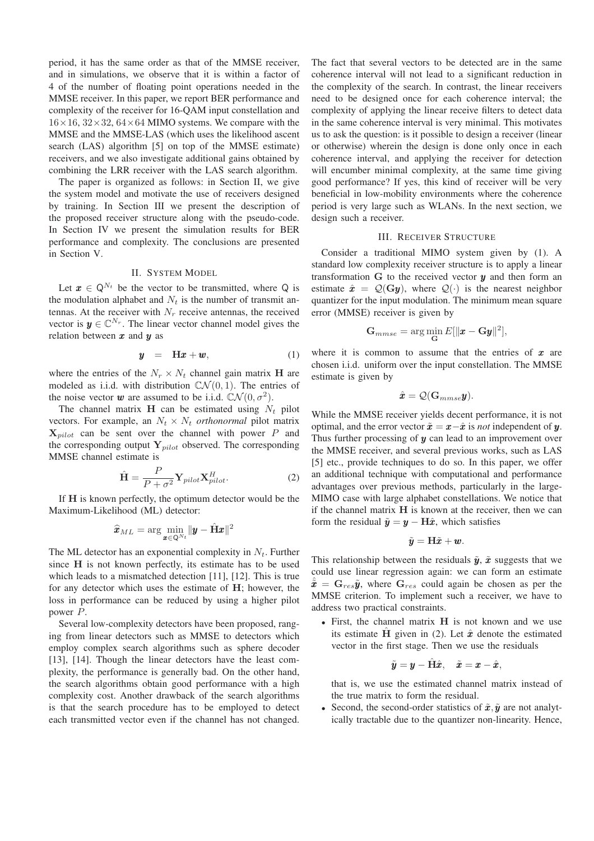period, it has the same order as that of the MMSE receiver, and in simulations, we observe that it is within a factor of 4 of the number of floating point operations needed in the MMSE receiver. In this paper, we report BER performance and complexity of the receiver for 16-QAM input constellation and  $16\times16$ ,  $32\times32$ ,  $64\times64$  MIMO systems. We compare with the MMSE and the MMSE-LAS (which uses the likelihood ascent search (LAS) algorithm [5] on top of the MMSE estimate) receivers, and we also investigate additional gains obtained by combining the LRR receiver with the LAS search algorithm.

The paper is organized as follows: in Section II, we give the system model and motivate the use of receivers designed by training. In Section III we present the description of the proposed receiver structure along with the pseudo-code. In Section IV we present the simulation results for BER performance and complexity. The conclusions are presented in Section V.

## II. SYSTEM MODEL

Let  $x \in Q^{N_t}$  be the vector to be transmitted, where Q is the modulation alphabet and  $N_t$  is the number of transmit antennas. At the receiver with  $N_r$  receive antennas, the received vector is  $y \in \mathbb{C}^{N_r}$ . The linear vector channel model gives the relation between  $x$  and  $y$  as

$$
y = Hx + w, \tag{1}
$$

where the entries of the  $N_r \times N_t$  channel gain matrix **H** are modeled as i.i.d. with distribution  $\mathbb{C} \mathcal{N}(0, 1)$ . The entries of the noise vector **w** are assumed to be i.i.d.  $CN(0, \sigma^2)$ .

The channel matrix **H** can be estimated using  $N_t$  pilot vectors. For example, an  $N_t \times N_t$  *orthonormal* pilot matrix **X***pilot* can be sent over the channel with power P and the corresponding output **Y***pilot* observed. The corresponding MMSE channel estimate is

$$
\hat{\mathbf{H}} = \frac{P}{P + \sigma^2} \mathbf{Y}_{pilot} \mathbf{X}_{pilot}^H.
$$
\nIf **H** is known perfectly, the optimum detector would be the

Maximum-Likelihood (ML) detector:

$$
\widehat{\bm{x}}_{ML} = \arg\min_{\bm{x}\in\mathsf{Q}^{N_t}} \|\bm{y} - \hat{\mathbf{H}}\bm{x}\|^2
$$

The ML detector has an exponential complexity in N*t*. Further since **H** is not known perfectly, its estimate has to be used which leads to a mismatched detection [11], [12]. This is true for any detector which uses the estimate of **H**; however, the loss in performance can be reduced by using a higher pilot power P.

Several low-complexity detectors have been proposed, ranging from linear detectors such as MMSE to detectors which employ complex search algorithms such as sphere decoder [13], [14]. Though the linear detectors have the least complexity, the performance is generally bad. On the other hand, the search algorithms obtain good performance with a high complexity cost. Another drawback of the search algorithms is that the search procedure has to be employed to detect each transmitted vector even if the channel has not changed.

The fact that several vectors to be detected are in the same coherence interval will not lead to a significant reduction in the complexity of the search. In contrast, the linear receivers need to be designed once for each coherence interval; the complexity of applying the linear receive filters to detect data in the same coherence interval is very minimal. This motivates us to ask the question: is it possible to design a receiver (linear or otherwise) wherein the design is done only once in each coherence interval, and applying the receiver for detection will encumber minimal complexity, at the same time giving good performance? If yes, this kind of receiver will be very beneficial in low-mobility environments where the coherence period is very large such as WLANs. In the next section, we design such a receiver.

#### III. RECEIVER STRUCTURE

Consider a traditional MIMO system given by (1). A standard low complexity receiver structure is to apply a linear transformation  $G$  to the received vector  $y$  and then form an estimate  $\hat{x} = Q(Gy)$ , where  $Q(\cdot)$  is the nearest neighbor quantizer for the input modulation. The minimum mean square error (MMSE) receiver is given by

$$
\mathbf{G}_{mmse} = \arg\min_{\mathbf{G}} E[\Vert \mathbf{x} - \mathbf{G}\mathbf{y} \Vert^2],
$$

where it is common to assume that the entries of  $x$  are chosen i.i.d. uniform over the input constellation. The MMSE estimate is given by

$$
\hat{\boldsymbol{x}} = \mathcal{Q}(\mathbf{G}_{mmse}\boldsymbol{y}).
$$

While the MMSE receiver yields decent performance, it is not optimal, and the error vector  $\tilde{x} = x - \hat{x}$  is *not* independent of y. Thus further processing of  $y$  can lead to an improvement over the MMSE receiver, and several previous works, such as LAS [5] etc., provide techniques to do so. In this paper, we offer an additional technique with computational and performance advantages over previous methods, particularly in the large-MIMO case with large alphabet constellations. We notice that if the channel matrix **H** is known at the receiver, then we can form the residual  $\tilde{y} = y - H\hat{x}$ , which satisfies

$$
\tilde{\pmb{y}} = \mathbf{H}\tilde{\pmb{x}} + \pmb{w}.
$$

This relationship between the residuals  $\tilde{y}$ ,  $\tilde{x}$  suggests that we could use linear regression again: we can form an estimate  $\hat{\mathbf{x}} = \mathbf{G}_{res} \tilde{\mathbf{y}}$ , where  $\mathbf{G}_{res}$  could again be chosen as per the MMSE criterion. To implement such a receiver, we have to address two practical constraints.

• First, the channel matrix **H** is not known and we use its estimate  $\hat{H}$  given in (2). Let  $\hat{x}$  denote the estimated vector in the first stage. Then we use the residuals

$$
\tilde{\mathbf{y}} = \mathbf{y} - \mathbf{H}\hat{\mathbf{x}}, \quad \tilde{\mathbf{x}} = \mathbf{x} - \hat{\mathbf{x}},
$$

that is, we use the estimated channel matrix instead of the true matrix to form the residual.

• Second, the second-order statistics of  $\tilde{x}, \tilde{y}$  are not analytically tractable due to the quantizer non-linearity. Hence,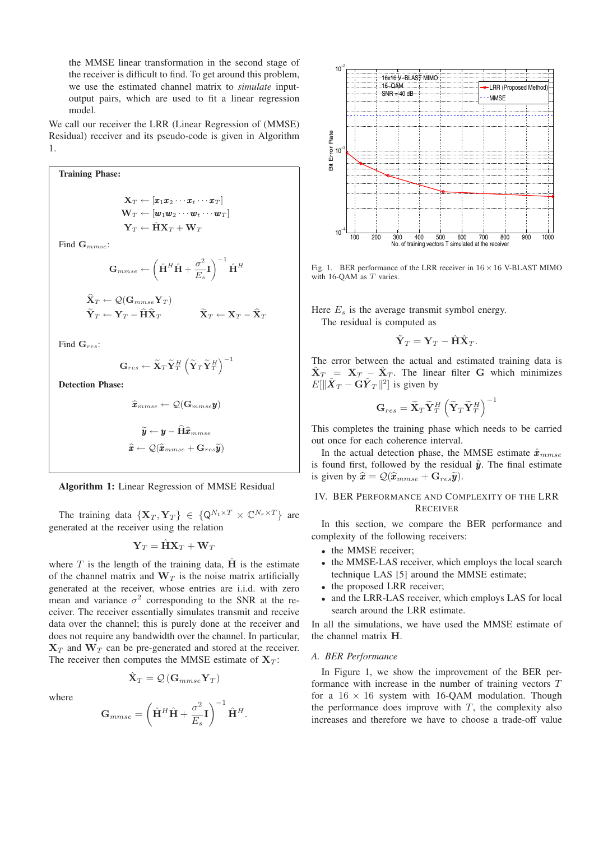the MMSE linear transformation in the second stage of the receiver is difficult to find. To get around this problem, we use the estimated channel matrix to *simulate* inputoutput pairs, which are used to fit a linear regression model.

We call our receiver the LRR (Linear Regression of (MMSE) Residual) receiver and its pseudo-code is given in Algorithm 1.

Training Phase:  
\n
$$
\mathbf{X}_{T} \leftarrow [\mathbf{x}_{1}\mathbf{x}_{2} \cdots \mathbf{x}_{t} \cdots \mathbf{x}_{T}]
$$
\n
$$
\mathbf{W}_{T} \leftarrow [\mathbf{w}_{1}\mathbf{w}_{2} \cdots \mathbf{w}_{t} \cdots \mathbf{w}_{T}]
$$
\n
$$
\mathbf{Y}_{T} \leftarrow \hat{\mathbf{H}}\mathbf{X}_{T} + \mathbf{W}_{T}
$$
\nFind  $\mathbf{G}_{mmse}$ :  
\n
$$
\mathbf{G}_{mmse} \leftarrow \left(\hat{\mathbf{H}}^{H}\hat{\mathbf{H}} + \frac{\sigma^{2}}{E_{s}}\mathbf{I}\right)^{-1}\hat{\mathbf{H}}^{H}
$$
\n
$$
\hat{\mathbf{X}}_{T} \leftarrow \mathcal{Q}(\mathbf{G}_{mmse}\mathbf{Y}_{T})
$$
\n
$$
\tilde{\mathbf{Y}}_{T} \leftarrow \mathbf{Y}_{T} - \hat{\mathbf{H}}\hat{\mathbf{X}}_{T} \qquad \tilde{\mathbf{X}}_{T} \leftarrow \mathbf{X}_{T} - \hat{\mathbf{X}}_{T}
$$

Find **G***res*:

$$
\mathbf{G}_{res} \leftarrow \widetilde{\mathbf{X}}_T \widetilde{\mathbf{Y}}_T^H \left( \widetilde{\mathbf{Y}}_T \widetilde{\mathbf{Y}}_T^H \right)^{-1}
$$

**Detection Phase:**

$$
\begin{aligned} \widehat{\pmb{x}}_{mmse} \leftarrow \mathcal{Q}(\mathbf{G}_{mmse}\pmb{y}) \\ \widetilde{\pmb{y}} \leftarrow \pmb{y} - \widehat{\mathbf{H}}\widehat{\pmb{x}}_{mmse} \\ \widehat{\pmb{x}} \leftarrow \mathcal{Q}(\widehat{\pmb{x}}_{mmse} + \mathbf{G}_{res}\widetilde{\pmb{y}}) \end{aligned}
$$

**Algorithm 1:** Linear Regression of MMSE Residual

The training data  ${\bf\{X}_T, Y_T\} \in {\bf\{Q}^{N_t \times T} \times \mathbb{C}^{N_r \times T} }$  are generated at the receiver using the relation

$$
\mathbf{Y}_T = \mathbf{H} \mathbf{X}_T + \mathbf{W}_T
$$

where T is the length of the training data,  $\hat{H}$  is the estimate of the channel matrix and  $W_T$  is the noise matrix artificially generated at the receiver, whose entries are i.i.d. with zero mean and variance  $\sigma^2$  corresponding to the SNR at the receiver. The receiver essentially simulates transmit and receive data over the channel; this is purely done at the receiver and does not require any bandwidth over the channel. In particular,  $X_T$  and  $W_T$  can be pre-generated and stored at the receiver. The receiver then computes the MMSE estimate of  $X_T$ :

$$
\hat{\mathbf{X}}_T = \mathcal{Q}\left(\mathbf{G}_{mmse}\mathbf{Y}_T\right)
$$

where

$$
\mathbf{G}_{mmse}=\left(\hat{\mathbf{H}}^H\hat{\mathbf{H}}+\frac{\sigma^2}{E_s}\mathbf{I}\right)^{-1}\hat{\mathbf{H}}^H.
$$



Fig. 1. BER performance of the LRR receiver in 16 *×* 16 V-BLAST MIMO with 16-QAM as *T* varies.

Here  $E<sub>s</sub>$  is the average transmit symbol energy. The residual is computed as

$$
\tilde{\mathbf{Y}}_T = \mathbf{Y}_T - \hat{\mathbf{H}} \hat{\mathbf{X}}_T.
$$

The error between the actual and estimated training data is  $\mathbf{X}_T = \mathbf{X}_T - \mathbf{X}_T$ . The linear filter **G** which minimizes  $E[\|\tilde{\boldsymbol{X}}_T - \mathbf{G}\tilde{\boldsymbol{Y}}_T\|^2]$  is given by

$$
\mathbf{G}_{res}=\widetilde{\mathbf{X}}_{T}\widetilde{\mathbf{Y}}_{T}^{H}\left(\widetilde{\mathbf{Y}}_{T}\widetilde{\mathbf{Y}}_{T}^{H}\right)^{-1}
$$

This completes the training phase which needs to be carried out once for each coherence interval.

In the actual detection phase, the MMSE estimate  $\hat{\mathbf{x}}_{mmse}$ is found first, followed by the residual  $\tilde{y}$ . The final estimate is given by  $\hat{\mathbf{x}} = \mathcal{Q}(\hat{\mathbf{x}}_{mmse} + \mathbf{G}_{res}\tilde{\mathbf{y}}).$ 

## IV. BER PERFORMANCE AND COMPLEXITY OF THE LRR **RECEIVER**

In this section, we compare the BER performance and complexity of the following receivers:

- the MMSE receiver:
- the MMSE-LAS receiver, which employs the local search technique LAS [5] around the MMSE estimate;
- the proposed LRR receiver;
- and the LRR-LAS receiver, which employs LAS for local search around the LRR estimate.

In all the simulations, we have used the MMSE estimate of the channel matrix **H**.

#### *A. BER Performance*

In Figure 1, we show the improvement of the BER performance with increase in the number of training vectors T for a  $16 \times 16$  system with 16-OAM modulation. Though the performance does improve with  $T$ , the complexity also increases and therefore we have to choose a trade-off value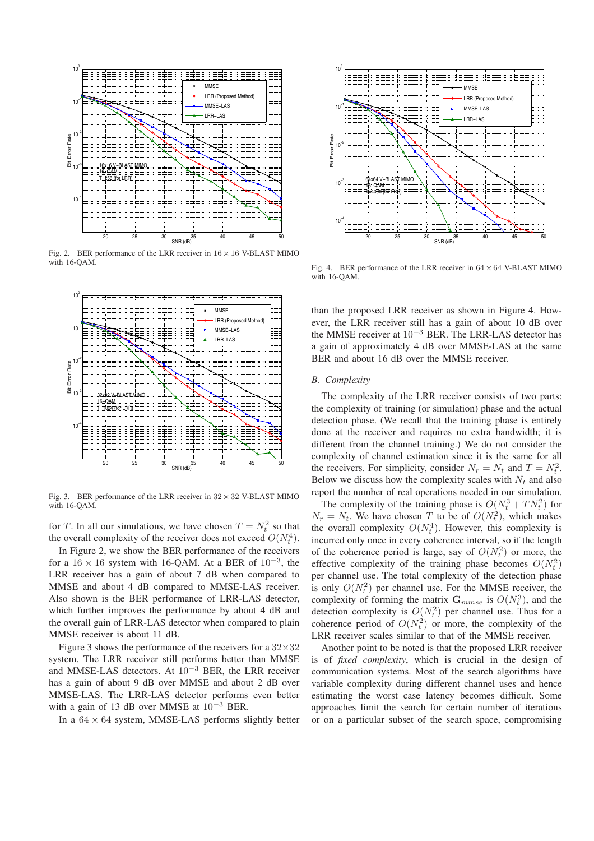

Fig. 2. BER performance of the LRR receiver in 16 *×* 16 V-BLAST MIMO with 16-QAM.



Fig. 3. BER performance of the LRR receiver in  $32 \times 32$  V-BLAST MIMO with 16-OAM.

for T. In all our simulations, we have chosen  $T = N_t^2$  so that the overall complexity of the receiver does not exceed  $O(N^4)$ the overall complexity of the receiver does not exceed  $O(N_t^4)$ .<br>In Figure 2, we show the BEP performance of the receivers

In Figure 2, we show the BER performance of the receivers for a  $16 \times 16$  system with 16-QAM. At a BER of  $10^{-3}$ , the LRR receiver has a gain of about 7 dB when compared to MMSE and about 4 dB compared to MMSE-LAS receiver. Also shown is the BER performance of LRR-LAS detector, which further improves the performance by about 4 dB and the overall gain of LRR-LAS detector when compared to plain MMSE receiver is about 11 dB.

Figure 3 shows the performance of the receivers for a  $32\times32$ system. The LRR receiver still performs better than MMSE and MMSE-LAS detectors. At 10<sup>−</sup><sup>3</sup> BER, the LRR receiver has a gain of about 9 dB over MMSE and about 2 dB over MMSE-LAS. The LRR-LAS detector performs even better with a gain of 13 dB over MMSE at 10<sup>-3</sup> BER.

In a  $64 \times 64$  system, MMSE-LAS performs slightly better



Fig. 4. BER performance of the LRR receiver in 64 *×* 64 V-BLAST MIMO with 16-QAM.

than the proposed LRR receiver as shown in Figure 4. However, the LRR receiver still has a gain of about 10 dB over the MMSE receiver at  $10^{-3}$  BER. The LRR-LAS detector has a gain of approximately 4 dB over MMSE-LAS at the same BER and about 16 dB over the MMSE receiver.

#### *B. Complexity*

The complexity of the LRR receiver consists of two parts: the complexity of training (or simulation) phase and the actual detection phase. (We recall that the training phase is entirely done at the receiver and requires no extra bandwidth; it is different from the channel training.) We do not consider the complexity of channel estimation since it is the same for all the receivers. For simplicity, consider  $N_r = N_t$  and  $T = N_t^2$ .<br>Below we discuss how the complexity scales with  $N_t$  and also Below we discuss how the complexity scales with  $N_t$  and also report the number of real operations needed in our simulation.

The complexity of the training phase is  $O(N_i^3 + TN_i^2)$  for  $-N_i$ . We have chosen T to be of  $O(N_i^2)$  which makes  $N_r = N_t$ . We have chosen T to be of  $O(N_t^2)$ , which makes<br>the overall complexity  $O(N^4)$ . However, this complexity is the overall complexity  $O(N_t^4)$ . However, this complexity is<br>incurred only once in every coherence interval so if the length incurred only once in every coherence interval, so if the length of the coherence period is large, say of  $O(N_t^2)$  or more, the effective complexity of the training phase becomes  $O(N^2)$ effective complexity of the training phase becomes  $O(N_t^2)$  $\mathcal{O}(N_t)$  per channel use. The total complexity of the detection phase is only  $O(N_t^2)$  per channel use. For the MMSE receiver, the complexity of forming the matrix  $\mathbf{C}$  is  $O(N^3)$  and the complexity of forming the matrix  $\mathbf{G}_{mmse}$  is  $O(N_i^2)$ , and the detection complexity is  $O(N^2)$  per channel use. Thus for a detection complexity is  $O(N_t^2)$  per channel use. Thus for a coherence period of  $O(N^2)$  or more the complexity of the coherence period of  $O(N_t^2)$  or more, the complexity of the IRR receiver scales similar to that of the MMSE receiver LRR receiver scales similar to that of the MMSE receiver.

Another point to be noted is that the proposed LRR receiver is of *fixed complexity*, which is crucial in the design of communication systems. Most of the search algorithms have variable complexity during different channel uses and hence estimating the worst case latency becomes difficult. Some approaches limit the search for certain number of iterations or on a particular subset of the search space, compromising